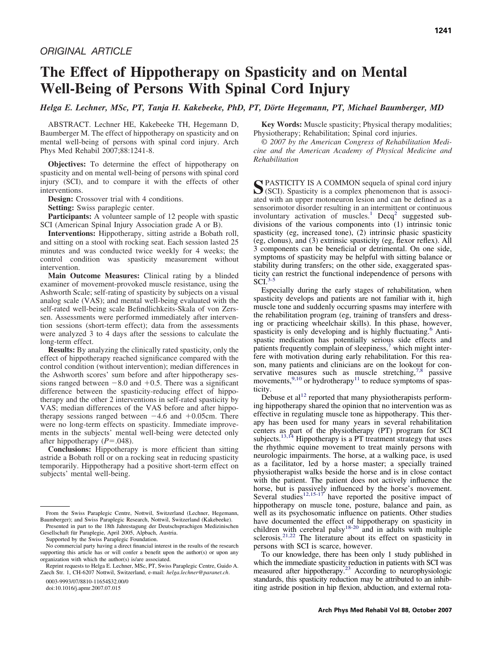# **The Effect of Hippotherapy on Spasticity and on Mental Well-Being of Persons With Spinal Cord Injury**

*Helga E. Lechner, MSc, PT, Tanja H. Kakebeeke, PhD, PT, Dörte Hegemann, PT, Michael Baumberger, MD*

ABSTRACT. Lechner HE, Kakebeeke TH, Hegemann D, Baumberger M. The effect of hippotherapy on spasticity and on mental well-being of persons with spinal cord injury. Arch Phys Med Rehabil 2007;88:1241-8.

**Objectives:** To determine the effect of hippotherapy on spasticity and on mental well-being of persons with spinal cord injury (SCI), and to compare it with the effects of other interventions.

**Design:** Crossover trial with 4 conditions.

**Setting:** Swiss paraplegic center.

**Participants:** A volunteer sample of 12 people with spastic SCI (American Spinal Injury Association grade A or B).

**Interventions:** Hippotherapy, sitting astride a Bobath roll, and sitting on a stool with rocking seat. Each session lasted 25 minutes and was conducted twice weekly for 4 weeks; the control condition was spasticity measurement without intervention.

**Main Outcome Measures:** Clinical rating by a blinded examiner of movement-provoked muscle resistance, using the Ashworth Scale; self-rating of spasticity by subjects on a visual analog scale (VAS); and mental well-being evaluated with the self-rated well-being scale Befindlichkeits-Skala of von Zerssen. Assessments were performed immediately after intervention sessions (short-term effect); data from the assessments were analyzed 3 to 4 days after the sessions to calculate the long-term effect.

**Results:** By analyzing the clinically rated spasticity, only the effect of hippotherapy reached significance compared with the control condition (without intervention); median differences in the Ashworth scores' sum before and after hippotherapy sessions ranged between  $-8.0$  and  $+0.5$ . There was a significant difference between the spasticity-reducing effect of hippotherapy and the other 2 interventions in self-rated spasticity by VAS; median differences of the VAS before and after hippotherapy sessions ranged between  $-4.6$  and  $+0.05$ cm. There were no long-term effects on spasticity. Immediate improvements in the subjects' mental well-being were detected only after hippotherapy  $(P=.048)$ .

**Conclusions:** Hippotherapy is more efficient than sitting astride a Bobath roll or on a rocking seat in reducing spasticity temporarily. Hippotherapy had a positive short-term effect on subjects' mental well-being.

0003-9993/07/8810-11654\$32.00/0 doi:10.1016/j.apmr.2007.07.015

**Key Words:** Muscle spasticity; Physical therapy modalities; Physiotherapy; Rehabilitation; Spinal cord injuries.

© *2007 by the American Congress of Rehabilitation Medicine and the American Academy of Physical Medicine and Rehabilitation*

SPASTICITY IS A COMMON sequela of spinal cord injury (SCI). Spasticity is a complex phenomenon that is associated with an upper motoneuron lesion and can be defined as a sensorimotor disorder resulting in an intermittent or continuous involuntary activation of muscles.<sup>[1](#page-6-0)</sup> Decq<sup>[2](#page-6-0)</sup> suggested subdivisions of the various components into (1) intrinsic tonic spasticity (eg, increased tone), (2) intrinsic phasic spasticity (eg, clonus), and (3) extrinsic spasticity (eg, flexor reflex). All 3 components can be beneficial or detrimental. On one side, symptoms of spasticity may be helpful with sitting balance or stability during transfers; on the other side, exaggerated spasticity can restrict the functional independence of persons with  $SCI^{3-5}$  $SCI^{3-5}$  $SCI^{3-5}$ 

Especially during the early stages of rehabilitation, when spasticity develops and patients are not familiar with it, high muscle tone and suddenly occurring spasms may interfere with the rehabilitation program (eg, training of transfers and dressing or practicing wheelchair skills). In this phase, however, spasticity is only developing and is highly fluctuating.<sup>[6](#page-6-0)</sup> Antispastic medication has potentially serious side effects and patients frequently complain of sleepiness,<sup>[7](#page-6-0)</sup> which might interfere with motivation during early rehabilitation. For this reason, many patients and clinicians are on the lookout for con-servative measures such as muscle stretching,<sup>[7,8](#page-6-0)</sup> passive movements,  $9,10$  or hydrotherapy<sup>[11](#page-6-0)</sup> to reduce symptoms of spasticity.

Debuse et al<sup>[12](#page-6-0)</sup> reported that many physiotherapists performing hippotherapy shared the opinion that no intervention was as effective in regulating muscle tone as hippotherapy. This therapy has been used for many years in several rehabilitation centers as part of the physiotherapy (PT) program for SCI subjects.<sup>[13,14](#page-6-0)</sup> Hippotherapy is a PT treatment strategy that uses the rhythmic equine movement to treat mainly persons with neurologic impairments. The horse, at a walking pace, is used as a facilitator, led by a horse master; a specially trained physiotherapist walks beside the horse and is in close contact with the patient. The patient does not actively influence the horse, but is passively influenced by the horse's movement.<br>Several studies<sup>[12,15-17](#page-6-0)</sup> have reported the positive impact of hippotherapy on muscle tone, posture, balance and pain, as well as its psychosomatic influence on patients. Other studies have documented the effect of hippotherapy on spasticity in children with cerebral palsy<sup>[18-20](#page-6-0)</sup> and in adults with multiple sclerosis.<sup>[21,22](#page-6-0)</sup> The literature about its effect on spasticity in persons with SCI is scarce, however.

To our knowledge, there has been only 1 study published in which the immediate spasticity reduction in patients with SCI was measured after hippotherapy.<sup>23</sup> According to neurophysiologic standards, this spasticity reduction may be attributed to an inhibiting astride position in hip flexion, abduction, and external rota-

From the Swiss Paraplegic Centre, Nottwil, Switzerland (Lechner, Hegemann, Baumberger); and Swiss Paraplegic Research, Nottwil, Switzerland (Kakebeeke).

Presented in part to the 18th Jahrestagung der Deutschsprachigen Medizinischen Gesellschaft für Paraplegie, April 2005, Alpbach, Austria.

Supported by the Swiss Paraplegic Foundation.

No commercial party having a direct financial interest in the results of the research supporting this article has or will confer a benefit upon the author(s) or upon any organization with which the author(s) is/are associated.

Reprint requests to Helga E. Lechner, MSc, PT, Swiss Paraplegic Centre, Guido A. Zaech Str. 1, CH-6207 Nottwil, Switzerland, e-mail: *helga.lechner@paranet.ch*.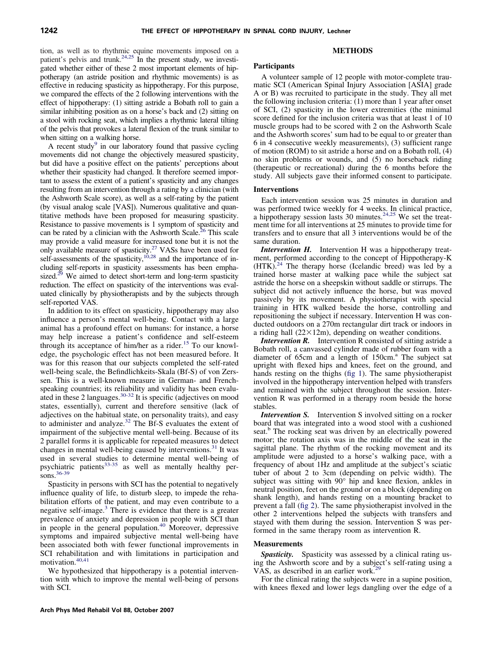tion, as well as to rhythmic equine movements imposed on a patient's pelvis and trunk.<sup>24,25</sup> In the present study, we investigated whether either of these 2 most important elements of hippotherapy (an astride position and rhythmic movements) is as effective in reducing spasticity as hippotherapy. For this purpose, we compared the effects of the 2 following interventions with the effect of hippotherapy: (1) sitting astride a Bobath roll to gain a similar inhibiting position as on a horse's back and (2) sitting on a stool with rocking seat, which implies a rhythmic lateral tilting of the pelvis that provokes a lateral flexion of the trunk similar to when sitting on a walking horse.

A recent study<sup>9</sup> in our laboratory found that passive cycling movements did not change the objectively measured spasticity, but did have a positive effect on the patients' perceptions about whether their spasticity had changed. It therefore seemed important to assess the extent of a patient's spasticity and any changes resulting from an intervention through a rating by a clinician (with the Ashworth Scale score), as well as a self-rating by the patient (by visual analog scale [VAS]). Numerous qualitative and quantitative methods have been proposed for measuring spasticity. Resistance to passive movements is 1 symptom of spasticity and can be rated by a clinician with the Ashworth Scale.<sup>26</sup> This scale may provide a valid measure for increased tone but it is not the only available measure of spasticity[.27](#page-6-0) VASs have been used for self-assessments of the spasticity,<sup>10,28</sup> and the importance of including self-reports in spasticity assessments has been emphasized.<sup>29</sup> We aimed to detect short-term and long-term spasticity reduction. The effect on spasticity of the interventions was evaluated clinically by physiotherapists and by the subjects through self-reported VAS.

In addition to its effect on spasticity, hippotherapy may also influence a person's mental well-being. Contact with a large animal has a profound effect on humans: for instance, a horse may help increase a patient's confidence and self-esteem through its acceptance of him/her as a rider.<sup>[15](#page-6-0)</sup> To our knowledge, the psychologic effect has not been measured before. It was for this reason that our subjects completed the self-rated well-being scale, the Befindlichkeits-Skala (Bf-S) of von Zerssen. This is a well-known measure in German- and Frenchspeaking countries; its reliability and validity has been evaluated in these 2 languages.[30-32](#page-7-0) It is specific (adjectives on mood states, essentially), current and therefore sensitive (lack of adjectives on the habitual state, on personality traits), and easy to administer and analyze.<sup>[32](#page-7-0)</sup> The Bf-S evaluates the extent of impairment of the subjective mental well-being. Because of its 2 parallel forms it is applicable for repeated measures to detect changes in mental well-being caused by interventions.<sup>[31](#page-7-0)</sup> It was used in several studies to determine mental well-being of psychiatric patients<sup>[33-35](#page-7-0)</sup> as well as mentally healthy persons. $36-39$ 

Spasticity in persons with SCI has the potential to negatively influence quality of life, to disturb sleep, to impede the rehabilitation efforts of the patient, and may even contribute to a negative self-image.[3](#page-6-0) There is evidence that there is a greater prevalence of anxiety and depression in people with SCI than in people in the general population.<sup>[40](#page-7-0)</sup> Moreover, depressive symptoms and impaired subjective mental well-being have been associated both with fewer functional improvements in SCI rehabilitation and with limitations in participation and motivation.<sup>[40,41](#page-7-0)</sup>

We hypothesized that hippotherapy is a potential intervention with which to improve the mental well-being of persons with SCI.

# **METHODS**

## **Participants**

A volunteer sample of 12 people with motor-complete traumatic SCI (American Spinal Injury Association [ASIA] grade A or B) was recruited to participate in the study. They all met the following inclusion criteria: (1) more than 1 year after onset of SCI, (2) spasticity in the lower extremities (the minimal score defined for the inclusion criteria was that at least 1 of 10 muscle groups had to be scored with 2 on the Ashworth Scale and the Ashworth scores' sum had to be equal to or greater than 6 in 4 consecutive weekly measurements), (3) sufficient range of motion (ROM) to sit astride a horse and on a Bobath roll, (4) no skin problems or wounds, and (5) no horseback riding (therapeutic or recreational) during the 6 months before the study. All subjects gave their informed consent to participate.

# **Interventions**

Each intervention session was 25 minutes in duration and was performed twice weekly for 4 weeks. In clinical practice, a hippotherapy session lasts 30 minutes.[24,25](#page-6-0) We set the treatment time for all interventions at 25 minutes to provide time for transfers and to ensure that all 3 interventions would be of the same duration.

*Intervention H.* Intervention H was a hippotherapy treatment, performed according to the concept of Hippotherapy-K  $(HTK).<sup>24</sup>$  $(HTK).<sup>24</sup>$  $(HTK).<sup>24</sup>$  The therapy horse (Icelandic breed) was led by a trained horse master at walking pace while the subject sat astride the horse on a sheepskin without saddle or stirrups. The subject did not actively influence the horse, but was moved passively by its movement. A physiotherapist with special training in HTK walked beside the horse, controlling and repositioning the subject if necessary. Intervention H was conducted outdoors on a 270m rectangular dirt track or indoors in a riding hall  $(22\times12m)$ , depending on weather conditions.

*Intervention R.* Intervention R consisted of sitting astride a Bobath roll, a canvassed cylinder made of rubber foam with a diameter of  $65cm$  and a length of  $150cm<sup>a</sup>$ . The subject sat upright with flexed hips and knees, feet on the ground, and hands resting on the thighs [\(fig 1\)](#page-2-0). The same physiotherapist involved in the hippotherapy intervention helped with transfers and remained with the subject throughout the session. Intervention R was performed in a therapy room beside the horse stables.

*Intervention S.* Intervention S involved sitting on a rocker board that was integrated into a wood stool with a cushioned seat.<sup>b</sup> The rocking seat was driven by an electrically powered motor; the rotation axis was in the middle of the seat in the sagittal plane. The rhythm of the rocking movement and its amplitude were adjusted to a horse's walking pace, with a frequency of about 1Hz and amplitude at the subject's sciatic tuber of about 2 to 3cm (depending on pelvic width). The subject was sitting with 90° hip and knee flexion, ankles in neutral position, feet on the ground or on a block (depending on shank length), and hands resting on a mounting bracket to prevent a fall [\(fig 2\)](#page-2-0). The same physiotherapist involved in the other 2 interventions helped the subjects with transfers and stayed with them during the session. Intervention S was performed in the same therapy room as intervention R.

# **Measurements**

**Spasticity.** Spasticity was assessed by a clinical rating using the Ashworth score and by a subject's self-rating using a VAS, as described in an earlier work.<sup>2</sup>

For the clinical rating the subjects were in a supine position, with knees flexed and lower legs dangling over the edge of a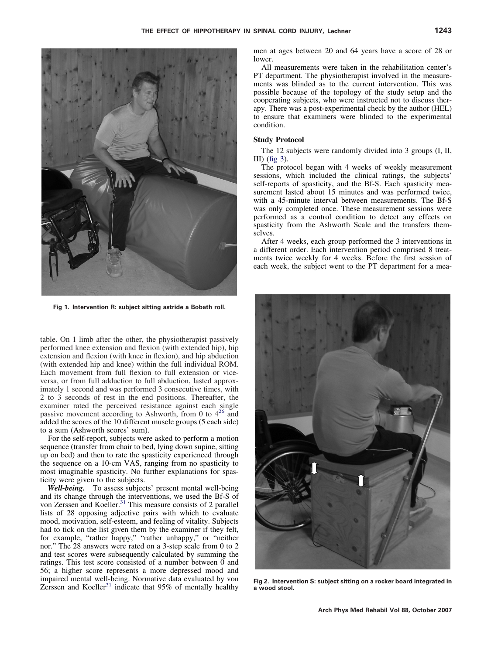<span id="page-2-0"></span>

**Fig 1. Intervention R: subject sitting astride a Bobath roll.**

table. On 1 limb after the other, the physiotherapist passively performed knee extension and flexion (with extended hip), hip extension and flexion (with knee in flexion), and hip abduction (with extended hip and knee) within the full individual ROM. Each movement from full flexion to full extension or viceversa, or from full adduction to full abduction, lasted approximately 1 second and was performed 3 consecutive times, with 2 to 3 seconds of rest in the end positions. Thereafter, the examiner rated the perceived resistance against each single passive movement according to Ashworth, from 0 to  $4^{26}$  $4^{26}$  $4^{26}$  and added the scores of the 10 different muscle groups (5 each side) to a sum (Ashworth scores' sum).

For the self-report, subjects were asked to perform a motion sequence (transfer from chair to bed, lying down supine, sitting up on bed) and then to rate the spasticity experienced through the sequence on a 10-cm VAS, ranging from no spasticity to most imaginable spasticity. No further explanations for spasticity were given to the subjects.

*Well-being.* To assess subjects' present mental well-being and its change through the interventions, we used the Bf-S of von Zerssen and Koeller.<sup>[31](#page-7-0)</sup> This measure consists of 2 parallel lists of 28 opposing adjective pairs with which to evaluate mood, motivation, self-esteem, and feeling of vitality. Subjects had to tick on the list given them by the examiner if they felt, for example, "rather happy," "rather unhappy," or "neither nor." The 28 answers were rated on a 3-step scale from 0 to 2 and test scores were subsequently calculated by summing the ratings. This test score consisted of a number between 0 and 56; a higher score represents a more depressed mood and impaired mental well-being. Normative data evaluated by von Zerssen and Koeller<sup>[31](#page-7-0)</sup> indicate that  $95\%$  of mentally healthy

men at ages between 20 and 64 years have a score of 28 or lower.

All measurements were taken in the rehabilitation center's PT department. The physiotherapist involved in the measurements was blinded as to the current intervention. This was possible because of the topology of the study setup and the cooperating subjects, who were instructed not to discuss therapy. There was a post-experimental check by the author (HEL) to ensure that examiners were blinded to the experimental condition.

# **Study Protocol**

The 12 subjects were randomly divided into 3 groups (I, II, III) [\(fig 3\)](#page-3-0).

The protocol began with 4 weeks of weekly measurement sessions, which included the clinical ratings, the subjects' self-reports of spasticity, and the Bf-S. Each spasticity measurement lasted about 15 minutes and was performed twice, with a 45-minute interval between measurements. The Bf-S was only completed once. These measurement sessions were performed as a control condition to detect any effects on spasticity from the Ashworth Scale and the transfers themselves.

After 4 weeks, each group performed the 3 interventions in a different order. Each intervention period comprised 8 treatments twice weekly for 4 weeks. Before the first session of each week, the subject went to the PT department for a mea-



**Fig 2. Intervention S: subject sitting on a rocker board integrated in a wood stool.**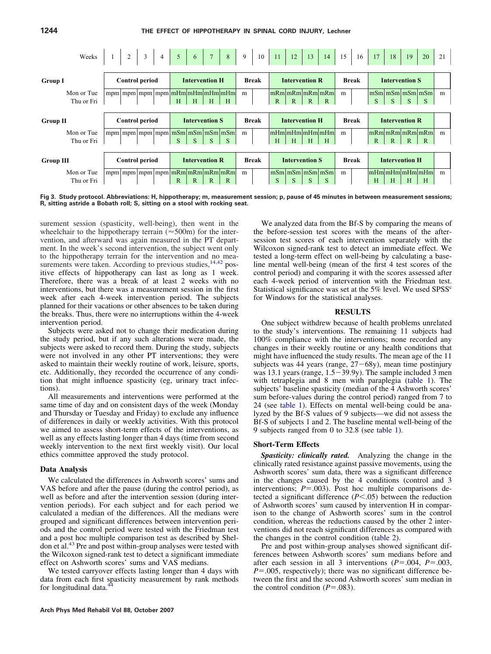<span id="page-3-0"></span>

| Weeks                    | $\overline{2}$<br>$-3 - i$<br>4 <sup>1</sup> | 161<br>$\vert 7 \vert$<br>$\begin{bmatrix} 5 \end{bmatrix}$<br>$\begin{array}{ c c } \hline 8 \end{array}$      | $\overline{9}$<br>10 | 12<br>11<br>13<br>14                                                                      | 15<br>16     | 17<br>18<br>19<br>20                                               | 21 |
|--------------------------|----------------------------------------------|-----------------------------------------------------------------------------------------------------------------|----------------------|-------------------------------------------------------------------------------------------|--------------|--------------------------------------------------------------------|----|
| <b>Group I</b>           | <b>Control period</b>                        | <b>Intervention H</b>                                                                                           | <b>Break</b>         | <b>Intervention R</b>                                                                     | <b>Break</b> | <b>Intervention S</b>                                              |    |
| Mon or Tue<br>Thu or Fri |                                              | mpm   mpm   mpm   mpm   mHm   mHm   mHm   mHm<br>H<br>H<br>H<br>H                                               | m                    | mRm mRm mRm <br>$\mathbb{R}$<br>$\mathbb{R}$<br>$\mathbb{R}$<br>$\mathbb{R}$              | m            | $\lfloor mSm \rfloor mSm \lfloor mSm \rfloor mSm$<br>S<br>S<br>S   | m  |
| <b>Group II</b>          | <b>Control period</b>                        | <b>Intervention S</b>                                                                                           | <b>Break</b>         | <b>Intervention H</b>                                                                     | <b>Break</b> | <b>Intervention R</b>                                              |    |
| Mon or Tue<br>Thu or Fri |                                              | $mpm \mid mpm \mid mpm \mid mpm \mid mSm \mid mSm \mid mSm \mid mSm$<br>S<br>S<br>S<br>S                        | m                    | $\lfloor m$ Hm $\lfloor m$ Hm $\lfloor m$ Hm $\lfloor m$ Hm $\rfloor$<br>H<br>H<br>H<br>Н | m            | mRm mRm mRm <br>$\mathbb{R}$<br>$\mathbb{R}$<br>R.<br>$\mathbb{R}$ | m  |
| <b>Group III</b>         | <b>Control period</b>                        | <b>Intervention R</b>                                                                                           | <b>Break</b>         | <b>Intervention S</b>                                                                     | <b>Break</b> | <b>Intervention H</b>                                              |    |
| Mon or Tue<br>Thu or Fri |                                              | mpm   mpm   mpm   mpm   mRm   mRm   mRm   mRm  <br>$\mathbb{R}$<br>$\mathbb{R}$<br>$\mathbb{R}$<br>$\mathbb{R}$ | m                    | $\lfloor mSm \rfloor mSm \lfloor mSm \rfloor mSm$<br>S<br>S<br>S<br>S                     | m            | mHm mHm mHm mHm<br>H<br>H<br>H<br>H                                | m  |

**Fig 3. Study protocol. Abbreviations: H, hippotherapy; m, measurement session; p, pause of 45 minutes in between measurement sessions; R, sitting astride a Bobath roll; S, sitting on a stool with rocking seat.**

surement session (spasticity, well-being), then went in the wheelchair to the hippotherapy terrain ( $\approx$  500m) for the intervention, and afterward was again measured in the PT department. In the week's second intervention, the subject went only to the hippotherapy terrain for the intervention and no measurements were taken. According to previous studies,  $14,42$  positive effects of hippotherapy can last as long as 1 week. Therefore, there was a break of at least 2 weeks with no interventions, but there was a measurement session in the first week after each 4-week intervention period. The subjects planned for their vacations or other absences to be taken during the breaks. Thus, there were no interruptions within the 4-week intervention period.

Subjects were asked not to change their medication during the study period, but if any such alterations were made, the subjects were asked to record them. During the study, subjects were not involved in any other PT interventions; they were asked to maintain their weekly routine of work, leisure, sports, etc. Additionally, they recorded the occurrence of any condition that might influence spasticity (eg, urinary tract infections).

All measurements and interventions were performed at the same time of day and on consistent days of the week (Monday and Thursday or Tuesday and Friday) to exclude any influence of differences in daily or weekly activities. With this protocol we aimed to assess short-term effects of the interventions, as well as any effects lasting longer than 4 days (time from second weekly intervention to the next first weekly visit). Our local ethics committee approved the study protocol.

# **Data Analysis**

We calculated the differences in Ashworth scores' sums and VAS before and after the pause (during the control period), as well as before and after the intervention session (during intervention periods). For each subject and for each period we calculated a median of the differences. All the medians were grouped and significant differences between intervention periods and the control period were tested with the Friedman test and a post hoc multiple comparison test as described by Sheldon et al.[43](#page-7-0) Pre and post within-group analyses were tested with the Wilcoxon signed-rank test to detect a significant immediate effect on Ashworth scores' sums and VAS medians.

We tested carryover effects lasting longer than 4 days with data from each first spasticity measurement by rank methods for longitudinal data.

We analyzed data from the Bf-S by comparing the means of the before-session test scores with the means of the aftersession test scores of each intervention separately with the Wilcoxon signed-rank test to detect an immediate effect. We tested a long-term effect on well-being by calculating a baseline mental well-being (mean of the first 4 test scores of the control period) and comparing it with the scores assessed after each 4-week period of intervention with the Friedman test. Statistical significance was set at the  $5\%$  level. We used SPSS<sup>c</sup> for Windows for the statistical analyses.

# **RESULTS**

One subject withdrew because of health problems unrelated to the study's interventions. The remaining 11 subjects had 100% compliance with the interventions; none recorded any changes in their weekly routine or any health conditions that might have influenced the study results. The mean age of the 11 subjects was 44 years (range,  $27-68y$ ), mean time postinjury was 13.1 years (range,  $1.5-39.9y$ ). The sample included 3 men with tetraplegia and 8 men with paraplegia [\(table 1\)](#page-4-0). The subjects' baseline spasticity (median of the 4 Ashworth scores' sum before-values during the control period) ranged from 7 to 24 (see [table 1\)](#page-4-0). Effects on mental well-being could be analyzed by the Bf-S values of 9 subjects—we did not assess the Bf-S of subjects 1 and 2. The baseline mental well-being of the 9 subjects ranged from 0 to 32.8 (see [table 1\)](#page-4-0).

# **Short-Term Effects**

*Spasticity: clinically rated.* Analyzing the change in the clinically rated resistance against passive movements, using the Ashworth scores' sum data, there was a significant difference in the changes caused by the 4 conditions (control and 3 interventions;  $P = .003$ ). Post hoc multiple comparisons detected a significant difference  $(P<.05)$  between the reduction of Ashworth scores' sum caused by intervention H in comparison to the change of Ashworth scores' sum in the control condition, whereas the reductions caused by the other 2 interventions did not reach significant differences as compared with the changes in the control condition [\(table 2\)](#page-4-0).

Pre and post within-group analyses showed significant differences between Ashworth scores' sum medians before and after each session in all 3 interventions  $(P=.004, P=.003,$  $P = 0.005$ , respectively); there was no significant difference between the first and the second Ashworth scores' sum median in the control condition  $(P=.083)$ .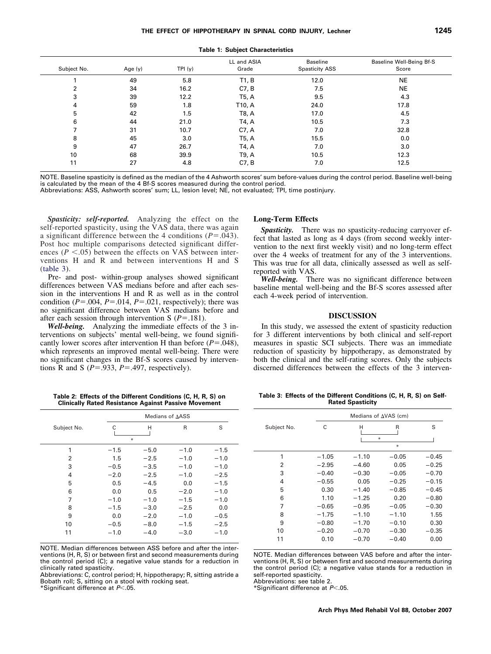<span id="page-4-0"></span>

| Subject No. | Age $(y)$ | TPI(y) | LL and ASIA<br>Grade | Baseline<br><b>Spasticity ASS</b> | Baseline Well-Being Bf-S<br>Score |
|-------------|-----------|--------|----------------------|-----------------------------------|-----------------------------------|
|             | 49        | 5.8    | T1, B                | 12.0                              | <b>NE</b>                         |
| 2           | 34        | 16.2   | C7, B                | 7.5                               | <b>NE</b>                         |
| 3           | 39        | 12.2   | T5, A                | 9.5                               | 4.3                               |
| 4           | 59        | 1.8    | T10, A               | 24.0                              | 17.8                              |
| 5           | 42        | 1.5    | T8, A                | 17.0                              | 4.5                               |
| 6           | 44        | 21.0   | T4, A                | 10.5                              | 7.3                               |
|             | 31        | 10.7   | C7, A                | 7.0                               | 32.8                              |
| 8           | 45        | 3.0    | T5, A                | 15.5                              | 0.0                               |
| 9           | 47        | 26.7   | T4, A                | 7.0                               | 3.0                               |
| 10          | 68        | 39.9   | T9, A                | 10.5                              | 12.3                              |
| 11          | 27        | 4.8    | C7, B                | 7.0                               | 12.5                              |
|             |           |        |                      |                                   |                                   |

**Table 1: Subject Characteristics**

NOTE. Baseline spasticity is defined as the median of the 4 Ashworth scores' sum before-values during the control period. Baseline well-being is calculated by the mean of the 4 Bf-S scores measured during the control period.

Abbreviations: ASS, Ashworth scores' sum; LL, lesion level; NE, not evaluated; TPI, time postinjury.

*Spasticity: self-reported.* Analyzing the effect on the self-reported spasticity, using the VAS data, there was again a significant difference between the 4 conditions  $(P=.043)$ . Post hoc multiple comparisons detected significant differences ( $P < .05$ ) between the effects on VAS between interventions H and R and between interventions H and S (table 3).

Pre- and post- within-group analyses showed significant differences between VAS medians before and after each session in the interventions H and R as well as in the control condition  $(P=.004, P=.014, P=.021$ , respectively); there was no significant difference between VAS medians before and after each session through intervention S  $(P=.181)$ .

*Well-being.* Analyzing the immediate effects of the 3 interventions on subjects' mental well-being, we found significantly lower scores after intervention H than before  $(P=.048)$ , which represents an improved mental well-being. There were no significant changes in the Bf-S scores caused by interventions R and S ( $P = .933$ ,  $P = .497$ , respectively).

#### **Long-Term Effects**

*Spasticity.* There was no spasticity-reducing carryover effect that lasted as long as 4 days (from second weekly intervention to the next first weekly visit) and no long-term effect over the 4 weeks of treatment for any of the 3 interventions. This was true for all data, clinically assessed as well as selfreported with VAS.

*Well-being.* There was no significant difference between baseline mental well-being and the Bf-S scores assessed after each 4-week period of intervention.

#### **DISCUSSION**

In this study, we assessed the extent of spasticity reduction for 3 different interventions by both clinical and self-report measures in spastic SCI subjects. There was an immediate reduction of spasticity by hippotherapy, as demonstrated by both the clinical and the self-rating scores. Only the subjects discerned differences between the effects of the 3 interven-

**Table 2: Effects of the Different Conditions (C, H, R, S) on Clinically Rated Resistance Against Passive Movement**

|             |        | Medians of AASS |              |        |  |  |
|-------------|--------|-----------------|--------------|--------|--|--|
| Subject No. | С<br>₩ | Н               | $\mathsf{R}$ | S      |  |  |
| 1           | $-1.5$ | $-5.0$          | $-1.0$       | $-1.5$ |  |  |
| 2           | 1.5    | $-2.5$          | $-1.0$       | $-1.0$ |  |  |
| 3           | $-0.5$ | $-3.5$          | $-1.0$       | $-1.0$ |  |  |
| 4           | $-2.0$ | $-2.5$          | $-1.0$       | $-2.5$ |  |  |
| 5           | 0.5    | $-4.5$          | 0.0          | $-1.5$ |  |  |
| 6           | 0.0    | 0.5             | $-2.0$       | $-1.0$ |  |  |
| 7           | $-1.0$ | $-1.0$          | $-1.5$       | $-1.0$ |  |  |
| 8           | $-1.5$ | $-3.0$          | $-2.5$       | 0.0    |  |  |
| 9           | 0.0    | $-2.0$          | $-1.0$       | $-0.5$ |  |  |
| 10          | $-0.5$ | $-8.0$          | $-1.5$       | $-2.5$ |  |  |
| 11          | $-1.0$ | $-4.0$          | $-3.0$       | $-1.0$ |  |  |

NOTE. Median differences between ASS before and after the interventions (H, R, S) or between first and second measurements during the control period (C); a negative value stands for a reduction in clinically rated spasticity.

Abbreviations: C, control period; H, hippotherapy; R, sitting astride a Bobath roll; S, sitting on a stool with rocking seat.

\*Significant difference at *P*.05.

**Table 3: Effects of the Different Conditions (C, H, R, S) on Self-Rated Spasticity**

| Medians of $\Delta VAS$ (cm) |         |         |         |  |  |
|------------------------------|---------|---------|---------|--|--|
| C                            | Н       | R       | S       |  |  |
|                              | ₩       |         |         |  |  |
|                              |         |         |         |  |  |
| $-1.05$                      | $-1.10$ | $-0.05$ | $-0.45$ |  |  |
| $-2.95$                      | $-4.60$ | 0.05    | $-0.25$ |  |  |
| $-0.40$                      | $-0.30$ | $-0.05$ | $-0.70$ |  |  |
| $-0.55$                      | 0.05    | $-0.25$ | $-0.15$ |  |  |
| 0.30                         | $-1.40$ | $-0.85$ | $-0.45$ |  |  |
| 1.10                         | $-1.25$ | 0.20    | $-0.80$ |  |  |
| $-0.65$                      | $-0.95$ | $-0.05$ | $-0.30$ |  |  |
| $-1.75$                      | $-1.10$ | $-1.10$ | 1.55    |  |  |
| $-0.80$                      | $-1.70$ | $-0.10$ | 0.30    |  |  |
| $-0.20$                      | $-0.70$ | $-0.30$ | $-0.35$ |  |  |
| 0.10                         | $-0.70$ | $-0.40$ | 0.00    |  |  |
|                              |         |         | $\ast$  |  |  |

NOTE. Median differences between VAS before and after the interventions (H, R, S) or between first and second measurements during the control period (C); a negative value stands for a reduction in self-reported spasticity.

Abbreviations: see table 2.

\*Significant difference at *P*.05.

#### **Arch Phys Med Rehabil Vol 88, October 2007**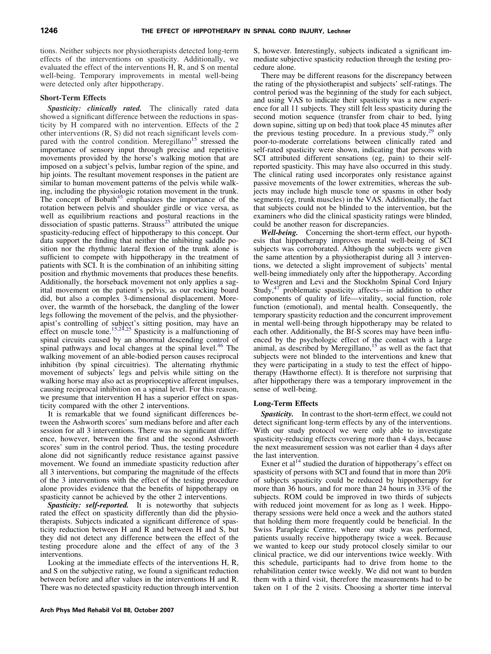tions. Neither subjects nor physiotherapists detected long-term effects of the interventions on spasticity. Additionally, we evaluated the effect of the interventions H, R, and S on mental well-being. Temporary improvements in mental well-being were detected only after hippotherapy.

# **Short-Term Effects**

*Spasticity: clinically rated.* The clinically rated data showed a significant difference between the reductions in spasticity by H compared with no intervention. Effects of the 2 other interventions (R, S) did not reach significant levels com-pared with the control condition. Meregillano<sup>[15](#page-6-0)</sup> stressed the importance of sensory input through precise and repetitive movements provided by the horse's walking motion that are imposed on a subject's pelvis, lumbar region of the spine, and hip joints. The resultant movement responses in the patient are similar to human movement patterns of the pelvis while walking, including the physiologic rotation movement in the trunk. The concept of Bobath<sup>[45](#page-7-0)</sup> emphasizes the importance of the rotation between pelvis and shoulder girdle or vice versa, as well as equilibrium reactions and postural reactions in the dissociation of spastic patterns. Strauss<sup>[25](#page-6-0)</sup> attributed the unique spasticity-reducing effect of hippotherapy to this concept. Our data support the finding that neither the inhibiting saddle position nor the rhythmic lateral flexion of the trunk alone is sufficient to compete with hippotherapy in the treatment of patients with SCI. It is the combination of an inhibiting sitting position and rhythmic movements that produces these benefits. Additionally, the horseback movement not only applies a sagittal movement on the patient's pelvis, as our rocking board did, but also a complex 3-dimensional displacement. Moreover, the warmth of the horseback, the dangling of the lower legs following the movement of the pelvis, and the physiother-apist's controlling of subject's sitting position, may have an effect on muscle tone.<sup>[15,24,25](#page-6-0)</sup> Spasticity is a malfunctioning of spinal circuits caused by an abnormal descending control of spinal pathways and local changes at the spinal level.<sup>[46](#page-7-0)</sup> The walking movement of an able-bodied person causes reciprocal inhibition (by spinal circuitries). The alternating rhythmic movement of subjects' legs and pelvis while sitting on the walking horse may also act as proprioceptive afferent impulses, causing reciprocal inhibition on a spinal level. For this reason, we presume that intervention H has a superior effect on spasticity compared with the other 2 interventions.

It is remarkable that we found significant differences between the Ashworth scores' sum medians before and after each session for all 3 interventions. There was no significant difference, however, between the first and the second Ashworth scores' sum in the control period. Thus, the testing procedure alone did not significantly reduce resistance against passive movement. We found an immediate spasticity reduction after all 3 interventions, but comparing the magnitude of the effects of the 3 interventions with the effect of the testing procedure alone provides evidence that the benefits of hippotherapy on spasticity cannot be achieved by the other 2 interventions.

*Spasticity: self-reported.* It is noteworthy that subjects rated the effect on spasticity differently than did the physiotherapists. Subjects indicated a significant difference of spasticity reduction between H and R and between H and S, but they did not detect any difference between the effect of the testing procedure alone and the effect of any of the 3 interventions.

Looking at the immediate effects of the interventions H, R, and S on the subjective rating, we found a significant reduction between before and after values in the interventions H and R. There was no detected spasticity reduction through intervention S, however. Interestingly, subjects indicated a significant immediate subjective spasticity reduction through the testing procedure alone.

There may be different reasons for the discrepancy between the rating of the physiotherapist and subjects' self-ratings. The control period was the beginning of the study for each subject, and using VAS to indicate their spasticity was a new experience for all 11 subjects. They still felt less spasticity during the second motion sequence (transfer from chair to bed, lying down supine, sitting up on bed) that took place 45 minutes after the previous testing procedure. In a previous study, $29$  only poor-to-moderate correlations between clinically rated and self-rated spasticity were shown, indicating that persons with SCI attributed different sensations (eg, pain) to their selfreported spasticity. This may have also occurred in this study. The clinical rating used incorporates only resistance against passive movements of the lower extremities, whereas the subjects may include high muscle tone or spasms in other body segments (eg, trunk muscles) in the VAS. Additionally, the fact that subjects could not be blinded to the intervention, but the examiners who did the clinical spasticity ratings were blinded, could be another reason for discrepancies.

*Well-being.* Concerning the short-term effect, our hypothesis that hippotherapy improves mental well-being of SCI subjects was corroborated. Although the subjects were given the same attention by a physiotherapist during all 3 interventions, we detected a slight improvement of subjects' mental well-being immediately only after the hippotherapy. According to Westgren and Levi and the Stockholm Spinal Cord Injury Study,[47](#page-7-0) problematic spasticity affects—in addition to other components of quality of life—vitality, social function, role function (emotional), and mental health. Consequently, the temporary spasticity reduction and the concurrent improvement in mental well-being through hippotherapy may be related to each other. Additionally, the Bf-S scores may have been influenced by the psychologic effect of the contact with a large animal, as described by Meregillano, $15$  as well as the fact that subjects were not blinded to the interventions and knew that they were participating in a study to test the effect of hippotherapy (Hawthorne effect). It is therefore not surprising that after hippotherapy there was a temporary improvement in the sense of well-being.

# **Long-Term Effects**

*Spasticity.* In contrast to the short-term effect, we could not detect significant long-term effects by any of the interventions. With our study protocol we were only able to investigate spasticity-reducing effects covering more than 4 days, because the next measurement session was not earlier than 4 days after the last intervention.

Exner et al<sup>[14](#page-6-0)</sup> studied the duration of hippotherapy's effect on spasticity of persons with SCI and found that in more than 20% of subjects spasticity could be reduced by hippotherapy for more than 36 hours, and for more than 24 hours in 33% of the subjects. ROM could be improved in two thirds of subjects with reduced joint movement for as long as 1 week. Hippotherapy sessions were held once a week and the authors stated that holding them more frequently could be beneficial. In the Swiss Paraplegic Centre, where our study was performed, patients usually receive hippotherapy twice a week. Because we wanted to keep our study protocol closely similar to our clinical practice, we did our interventions twice weekly. With this schedule, participants had to drive from home to the rehabilitation center twice weekly. We did not want to burden them with a third visit, therefore the measurements had to be taken on 1 of the 2 visits. Choosing a shorter time interval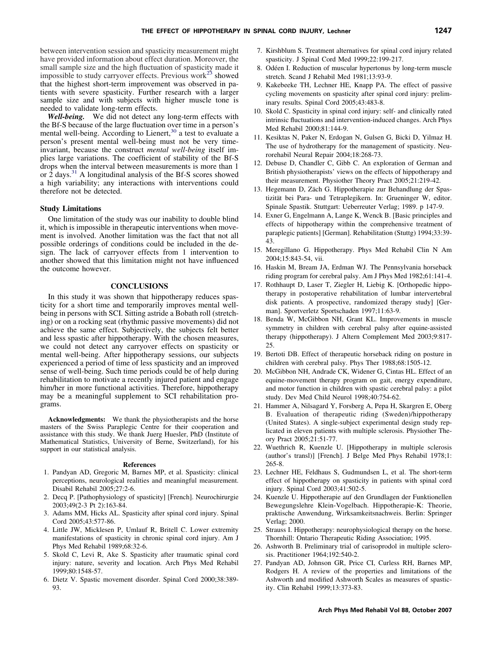<span id="page-6-0"></span>between intervention session and spasticity measurement might have provided information about effect duration. Moreover, the small sample size and the high fluctuation of spasticity made it impossible to study carryover effects. Previous work $^{23}$  showed that the highest short-term improvement was observed in patients with severe spasticity. Further research with a larger sample size and with subjects with higher muscle tone is needed to validate long-term effects.

*Well-being.* We did not detect any long-term effects with the Bf-S because of the large fluctuation over time in a person's mental well-being. According to Lienert,<sup>[30](#page-7-0)</sup> a test to evaluate a person's present mental well-being must not be very timeinvariant, because the construct *mental well-being* itself implies large variations. The coefficient of stability of the Bf-S drops when the interval between measurements is more than 1 or 2 days.<sup>[31](#page-7-0)</sup> A longitudinal analysis of the Bf-S scores showed a high variability; any interactions with interventions could therefore not be detected.

## **Study Limitations**

One limitation of the study was our inability to double blind it, which is impossible in therapeutic interventions when movement is involved. Another limitation was the fact that not all possible orderings of conditions could be included in the design. The lack of carryover effects from 1 intervention to another showed that this limitation might not have influenced the outcome however.

# **CONCLUSIONS**

In this study it was shown that hippotherapy reduces spasticity for a short time and temporarily improves mental wellbeing in persons with SCI. Sitting astride a Bobath roll (stretching) or on a rocking seat (rhythmic passive movements) did not achieve the same effect. Subjectively, the subjects felt better and less spastic after hippotherapy. With the chosen measures, we could not detect any carryover effects on spasticity or mental well-being. After hippotherapy sessions, our subjects experienced a period of time of less spasticity and an improved sense of well-being. Such time periods could be of help during rehabilitation to motivate a recently injured patient and engage him/her in more functional activities. Therefore, hippotherapy may be a meaningful supplement to SCI rehabilitation programs.

**Acknowledgments:** We thank the physiotherapists and the horse masters of the Swiss Paraplegic Centre for their cooperation and assistance with this study. We thank Juerg Huesler, PhD (Institute of Mathematical Statistics, University of Berne, Switzerland), for his support in our statistical analysis.

#### **References**

- 1. Pandyan AD, Gregoric M, Barnes MP, et al. Spasticity: clinical perceptions, neurological realities and meaningful measurement. Disabil Rehabil 2005;27:2-6.
- 2. Decq P. [Pathophysiology of spasticity] [French]. Neurochirurgie 2003;49(2-3 Pt 2):163-84.
- 3. Adams MM, Hicks AL. Spasticity after spinal cord injury. Spinal Cord 2005;43:577-86.
- 4. Little JW, Micklesen P, Umlauf R, Britell C. Lower extremity manifestations of spasticity in chronic spinal cord injury. Am J Phys Med Rehabil 1989;68:32-6.
- 5. Skold C, Levi R, Ake S. Spasticity after traumatic spinal cord injury: nature, severity and location. Arch Phys Med Rehabil 1999;80:1548-57.
- 6. Dietz V. Spastic movement disorder. Spinal Cord 2000;38:389- 93.
- 7. Kirshblum S. Treatment alternatives for spinal cord injury related spasticity. J Spinal Cord Med 1999;22:199-217.
- 8. Odéen I. Reduction of muscular hypertonus by long-term muscle stretch. Scand J Rehabil Med 1981;13:93-9.
- 9. Kakebeeke TH, Lechner HE, Knapp PA. The effect of passive cycling movements on spasticity after spinal cord injury: preliminary results. Spinal Cord 2005;43:483-8.
- 10. Skold C. Spasticity in spinal cord injury: self- and clinically rated intrinsic fluctuations and intervention-induced changes. Arch Phys Med Rehabil 2000;81:144-9.
- 11. Kesiktas N, Paker N, Erdogan N, Gulsen G, Bicki D, Yilmaz H. The use of hydrotherapy for the management of spasticity. Neurorehabil Neural Repair 2004;18:268-73.
- 12. Debuse D, Chandler C, Gibb C. An exploration of German and British physiotherapists' views on the effects of hippotherapy and their measurement. Physiother Theory Pract 2005;21:219-42.
- 13. Hegemann D, Zäch G. Hippotherapie zur Behandlung der Spastizität bei Para- und Tetraplegikern. In: Grueninger W, editor. Spinale Spastik. Stuttgart: Ueberreuter Verlag; 1989. p 147-9.
- 14. Exner G, Engelmann A, Lange K, Wenck B. [Basic principles and effects of hippotherapy within the comprehensive treatment of paraplegic patients] [German]. Rehabilitation (Stuttg) 1994;33:39- 43.
- 15. Meregillano G. Hippotherapy. Phys Med Rehabil Clin N Am 2004;15:843-54, vii.
- 16. Haskin M, Bream JA, Erdman WJ. The Pennsylvania horseback riding program for cerebral palsy. Am J Phys Med 1982;61:141-4.
- 17. Rothhaupt D, Laser T, Ziegler H, Liebig K. [Orthopedic hippotherapy in postoperative rehabilitation of lumbar intervertebral disk patients. A prospective, randomized therapy study] [German]. Sportverletz Sportschaden 1997;11:63-9.
- 18. Benda W, McGibbon NH, Grant KL. Improvements in muscle symmetry in children with cerebral palsy after equine-assisted therapy (hippotherapy). J Altern Complement Med 2003;9:817- 25.
- 19. Bertoti DB. Effect of therapeutic horseback riding on posture in children with cerebral palsy. Phys Ther 1988;68:1505-12.
- 20. McGibbon NH, Andrade CK, Widener G, Cintas HL. Effect of an equine-movement therapy program on gait, energy expenditure, and motor function in children with spastic cerebral palsy: a pilot study. Dev Med Child Neurol 1998;40:754-62.
- 21. Hammer A, Nilsagard Y, Forsberg A, Pepa H, Skargren E, Oberg B. Evaluation of therapeutic riding (Sweden)/hippotherapy (United States). A single-subject experimental design study replicated in eleven patients with multiple sclerosis. Physiother Theory Pract 2005;21:51-77.
- 22. Wuethrich R, Kuenzle U. [Hippotherapy in multiple sclerosis (author's transl)] [French]. J Belge Med Phys Rehabil 1978;1: 265-8.
- 23. Lechner HE, Feldhaus S, Gudmundsen L, et al. The short-term effect of hippotherapy on spasticity in patients with spinal cord injury. Spinal Cord 2003;41:502-5.
- 24. Kuenzle U. Hippotherapie auf den Grundlagen der Funktionellen Bewegungslehre Klein-Vogelbach. Hippotherapie-K: Theorie, praktische Anwendung, Wirksamkeitsnachweis. Berlin: Springer Verlag; 2000.
- 25. Strauss I. Hippotherapy: neurophysiological therapy on the horse. Thornhill: Ontario Therapeutic Riding Association; 1995.
- 26. Ashworth B. Preliminary trial of carisoprodol in multiple sclerosis. Practitioner 1964;192:540-2.
- 27. Pandyan AD, Johnson GR, Price CI, Curless RH, Barnes MP, Rodgers H. A review of the properties and limitations of the Ashworth and modified Ashworth Scales as measures of spasticity. Clin Rehabil 1999;13:373-83.